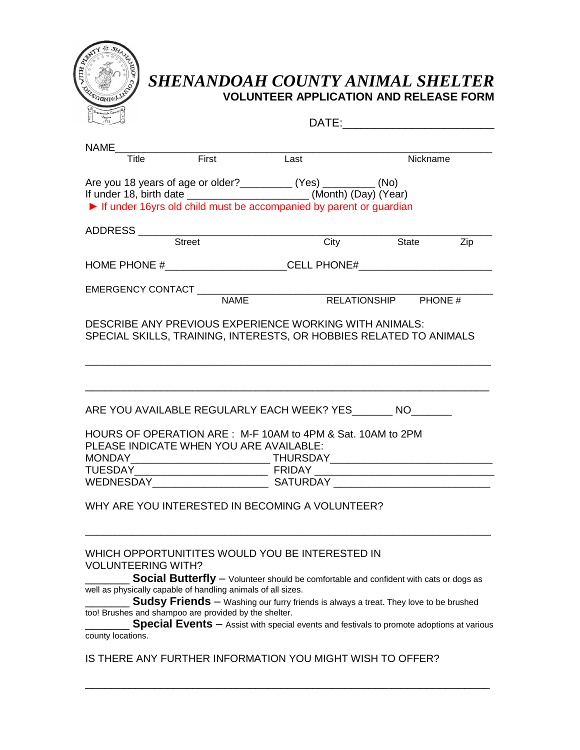

## *SHENANDOAH COUNTY ANIMAL SHELTER* **VOLUNTEER APPLICATION AND RELEASE FORM**

| $\sum_{1772}$<br>泪                             |                                                                                                                                                                                                                                                                                                                                                                                                                                                                      |      | DATE: the contract of the contract of the contract of the contract of the contract of the contract of the contract of the contract of the contract of the contract of the contract of the contract of the contract of the cont |            |
|------------------------------------------------|----------------------------------------------------------------------------------------------------------------------------------------------------------------------------------------------------------------------------------------------------------------------------------------------------------------------------------------------------------------------------------------------------------------------------------------------------------------------|------|--------------------------------------------------------------------------------------------------------------------------------------------------------------------------------------------------------------------------------|------------|
| <b>NAME</b>                                    |                                                                                                                                                                                                                                                                                                                                                                                                                                                                      |      |                                                                                                                                                                                                                                |            |
| Title                                          | <b>Example 15</b>                                                                                                                                                                                                                                                                                                                                                                                                                                                    | Last | Nickname                                                                                                                                                                                                                       |            |
|                                                | Are you 18 years of age or older? ___________ (Yes) _________ (No)<br>If under 18, birth date _________________________(Month) (Day) (Year)<br>If under 16yrs old child must be accompanied by parent or guardian                                                                                                                                                                                                                                                    |      |                                                                                                                                                                                                                                |            |
|                                                | Street                                                                                                                                                                                                                                                                                                                                                                                                                                                               | City | <b>State</b>                                                                                                                                                                                                                   |            |
|                                                |                                                                                                                                                                                                                                                                                                                                                                                                                                                                      |      |                                                                                                                                                                                                                                | <b>Zip</b> |
|                                                | HOME PHONE #_________________________CELL PHONE#________________________________                                                                                                                                                                                                                                                                                                                                                                                     |      |                                                                                                                                                                                                                                |            |
|                                                | <b>NAME</b>                                                                                                                                                                                                                                                                                                                                                                                                                                                          |      | RELATIONSHIP PHONE #                                                                                                                                                                                                           |            |
|                                                | DESCRIBE ANY PREVIOUS EXPERIENCE WORKING WITH ANIMALS:<br>SPECIAL SKILLS, TRAINING, INTERESTS, OR HOBBIES RELATED TO ANIMALS                                                                                                                                                                                                                                                                                                                                         |      |                                                                                                                                                                                                                                |            |
|                                                | ARE YOU AVAILABLE REGULARLY EACH WEEK? YES________ NO________<br>HOURS OF OPERATION ARE: M-F 10AM to 4PM & Sat. 10AM to 2PM<br>PLEASE INDICATE WHEN YOU ARE AVAILABLE:                                                                                                                                                                                                                                                                                               |      |                                                                                                                                                                                                                                |            |
|                                                | WHY ARE YOU INTERESTED IN BECOMING A VOLUNTEER?                                                                                                                                                                                                                                                                                                                                                                                                                      |      |                                                                                                                                                                                                                                |            |
| <b>VOLUNTEERING WITH?</b><br>county locations. | WHICH OPPORTUNITITES WOULD YOU BE INTERESTED IN<br><b>Social Butterfly</b> - Volunteer should be comfortable and confident with cats or dogs as<br>well as physically capable of handling animals of all sizes.<br><b>Sudsy Friends</b> - Washing our furry friends is always a treat. They love to be brushed<br>too! Brushes and shampoo are provided by the shelter.<br>Special Events - Assist with special events and festivals to promote adoptions at various |      |                                                                                                                                                                                                                                |            |
|                                                | IS THERE ANY FURTHER INFORMATION YOU MIGHT WISH TO OFFER?                                                                                                                                                                                                                                                                                                                                                                                                            |      |                                                                                                                                                                                                                                |            |

\_\_\_\_\_\_\_\_\_\_\_\_\_\_\_\_\_\_\_\_\_\_\_\_\_\_\_\_\_\_\_\_\_\_\_\_\_\_\_\_\_\_\_\_\_\_\_\_\_\_\_\_\_\_\_\_\_\_\_\_\_\_\_\_